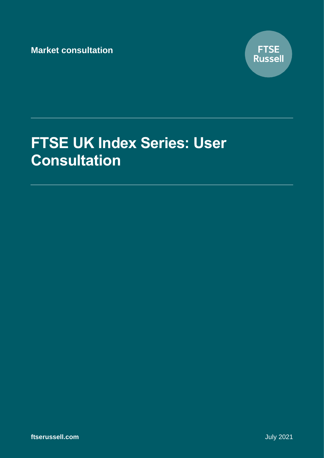**Market consultation**



# **FTSE UK Index Series: User Consultation**

**ftserussell.com** July 2021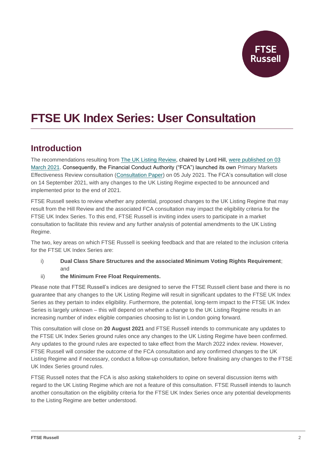

# **FTSE UK Index Series: User Consultation**

## **Introduction**

The recommendations resulting from [The UK Listing Review,](https://www.gov.uk/government/publications/uk-listings-review/call-for-evidence-uk-listings-review) chaired by Lord Hill, [were published on](https://assets.publishing.service.gov.uk/government/uploads/system/uploads/attachment_data/file/966133/UK_Listing_Review_3_March.pdf) 03 [March 2021.](https://assets.publishing.service.gov.uk/government/uploads/system/uploads/attachment_data/file/966133/UK_Listing_Review_3_March.pdf) Consequently, the Financial Conduct Authority ("FCA") launched its own Primary Markets Effectiveness Review consultation [\(Consultation Paper\)](https://protect-eu.mimecast.com/s/5azSCLv1DI4XWjwUBZFtO?domain=fca.org.uk) on 05 July 2021. The FCA's consultation will close on 14 September 2021, with any changes to the UK Listing Regime expected to be announced and implemented prior to the end of 2021.

FTSE Russell seeks to review whether any potential, proposed changes to the UK Listing Regime that may result from the Hill Review and the associated FCA consultation may impact the eligibility criteria for the FTSE UK Index Series. To this end, FTSE Russell is inviting index users to participate in a market consultation to facilitate this review and any further analysis of potential amendments to the UK Listing Regime.

The two, key areas on which FTSE Russell is seeking feedback and that are related to the inclusion criteria for the FTSE UK Index Series are:

- i) **Dual Class Share Structures and the associated Minimum Voting Rights Requirement**; and
- ii) **the Minimum Free Float Requirements.**

Please note that FTSE Russell's indices are designed to serve the FTSE Russell client base and there is no guarantee that any changes to the UK Listing Regime will result in significant updates to the FTSE UK Index Series as they pertain to index eligibility. Furthermore, the potential, long-term impact to the FTSE UK Index Series is largely unknown – this will depend on whether a change to the UK Listing Regime results in an increasing number of index eligible companies choosing to list in London going forward.

This consultation will close on **20 August 2021** and FTSE Russell intends to communicate any updates to the FTSE UK Index Series ground rules once any changes to the UK Listing Regime have been confirmed. Any updates to the ground rules are expected to take effect from the March 2022 index review. However, FTSE Russell will consider the outcome of the FCA consultation and any confirmed changes to the UK Listing Regime and if necessary, conduct a follow-up consultation, before finalising any changes to the FTSE UK Index Series ground rules.

FTSE Russell notes that the FCA is also asking stakeholders to opine on several discussion items with regard to the UK Listing Regime which are not a feature of this consultation. FTSE Russell intends to launch another consultation on the eligibility criteria for the FTSE UK Index Series once any potential developments to the Listing Regime are better understood.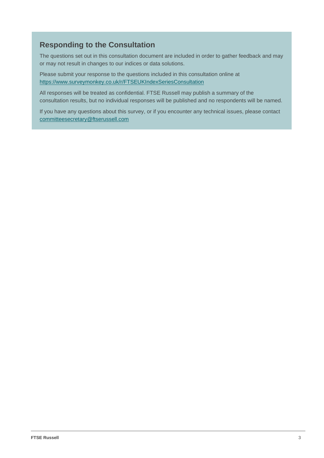## **Responding to the Consultation**

The questions set out in this consultation document are included in order to gather feedback and may or may not result in changes to our indices or data solutions.

Please submit your response to the questions included in this consultation online at <https://www.surveymonkey.co.uk/r/FTSEUKIndexSeriesConsultation>

All responses will be treated as confidential. FTSE Russell may publish a summary of the consultation results, but no individual responses will be published and no respondents will be named.

If you have any questions about this survey, or if you encounter any technical issues, please contact [committeesecretary@ftserussell.com](mailto:committeesecretary@ftserussell.com)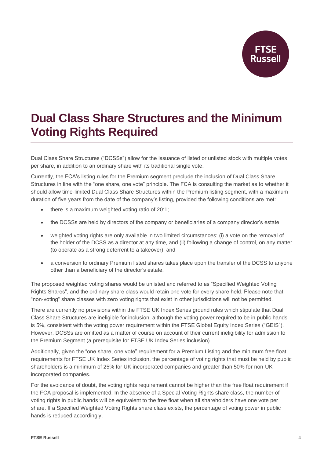**Russell** 

## **Dual Class Share Structures and the Minimum Voting Rights Required**

Dual Class Share Structures ("DCSSs") allow for the issuance of listed or unlisted stock with multiple votes per share, in addition to an ordinary share with its traditional single vote.

Currently, the FCA's listing rules for the Premium segment preclude the inclusion of Dual Class Share Structures in line with the "one share, one vote" principle. The FCA is consulting the market as to whether it should allow time-limited Dual Class Share Structures within the Premium listing segment, with a maximum duration of five years from the date of the company's listing, provided the following conditions are met:

- there is a maximum weighted voting ratio of 20:1;
- the DCSSs are held by directors of the company or beneficiaries of a company director's estate;
- weighted voting rights are only available in two limited circumstances: (i) a vote on the removal of the holder of the DCSS as a director at any time, and (ii) following a change of control, on any matter (to operate as a strong deterrent to a takeover); and
- a conversion to ordinary Premium listed shares takes place upon the transfer of the DCSS to anyone other than a beneficiary of the director's estate.

The proposed weighted voting shares would be unlisted and referred to as "Specified Weighted Voting Rights Shares", and the ordinary share class would retain one vote for every share held. Please note that "non-voting" share classes with zero voting rights that exist in other jurisdictions will not be permitted.

There are currently no provisions within the FTSE UK Index Series ground rules which stipulate that Dual Class Share Structures are ineligible for inclusion, although the voting power required to be in public hands is 5%, consistent with the voting power requirement within the FTSE Global Equity Index Series ("GEIS"). However, DCSSs are omitted as a matter of course on account of their current ineligibility for admission to the Premium Segment (a prerequisite for FTSE UK Index Series inclusion).

Additionally, given the "one share, one vote" requirement for a Premium Listing and the minimum free float requirements for FTSE UK Index Series inclusion, the percentage of voting rights that must be held by public shareholders is a minimum of 25% for UK incorporated companies and greater than 50% for non-UK incorporated companies.

For the avoidance of doubt, the voting rights requirement cannot be higher than the free float requirement if the FCA proposal is implemented. In the absence of a Special Voting Rights share class, the number of voting rights in public hands will be equivalent to the free float when all shareholders have one vote per share. If a Specified Weighted Voting Rights share class exists, the percentage of voting power in public hands is reduced accordingly.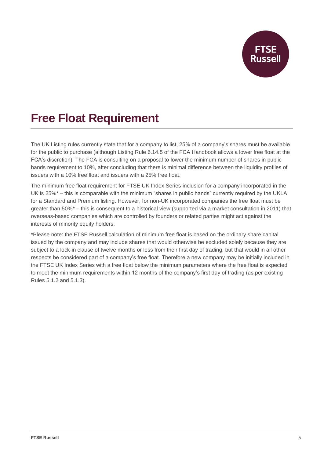

# **Free Float Requirement**

The UK Listing rules currently state that for a company to list, 25% of a company's shares must be available for the public to purchase (although Listing Rule 6.14.5 of the FCA Handbook allows a lower free float at the FCA's discretion). The FCA is consulting on a proposal to lower the minimum number of shares in public hands requirement to 10%, after concluding that there is minimal difference between the liquidity profiles of issuers with a 10% free float and issuers with a 25% free float.

The minimum free float requirement for FTSE UK Index Series inclusion for a company incorporated in the UK is 25%\* – this is comparable with the minimum "shares in public hands" currently required by the UKLA for a Standard and Premium listing. However, for non-UK incorporated companies the free float must be greater than 50%\* – this is consequent to a historical view (supported via a market consultation in 2011) that overseas-based companies which are controlled by founders or related parties might act against the interests of minority equity holders.

\*Please note: the FTSE Russell calculation of minimum free float is based on the ordinary share capital issued by the company and may include shares that would otherwise be excluded solely because they are subject to a lock-in clause of twelve months or less from their first day of trading, but that would in all other respects be considered part of a company's free float. Therefore a new company may be initially included in the FTSE UK Index Series with a free float below the minimum parameters where the free float is expected to meet the minimum requirements within 12 months of the company's first day of trading (as per existing Rules 5.1.2 and 5.1.3).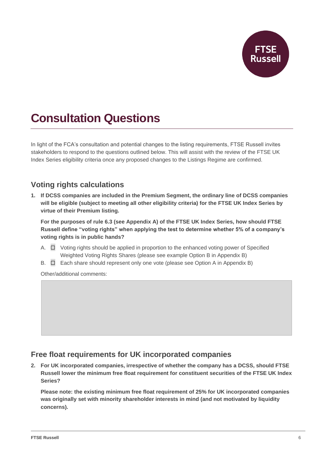

# **Consultation Questions**

In light of the FCA's consultation and potential changes to the listing requirements, FTSE Russell invites stakeholders to respond to the questions outlined below. This will assist with the review of the FTSE UK Index Series eligibility criteria once any proposed changes to the Listings Regime are confirmed.

## **Voting rights calculations**

**1. If DCSS companies are included in the Premium Segment, the ordinary line of DCSS companies will be eligible (subject to meeting all other eligibility criteria) for the FTSE UK Index Series by virtue of their Premium listing.**

**For the purposes of rule 6.3 (see Appendix A) of the FTSE UK Index Series, how should FTSE Russell define "voting rights" when applying the test to determine whether 5% of a company's voting rights is in public hands?**

- A. ☐ Voting rights should be applied in proportion to the enhanced voting power of Specified Weighted Voting Rights Shares (please see example Option B in Appendix B)
- B. □ Each share should represent only one vote (please see Option A in Appendix B)

Other/additional comments:

### **Free float requirements for UK incorporated companies**

**2. For UK incorporated companies, irrespective of whether the company has a DCSS, should FTSE Russell lower the minimum free float requirement for constituent securities of the FTSE UK Index Series?**

**Please note: the existing minimum free float requirement of 25% for UK incorporated companies was originally set with minority shareholder interests in mind (and not motivated by liquidity concerns).**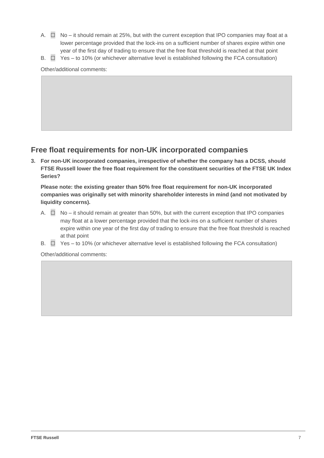- A. ☐ No it should remain at 25%, but with the current exception that IPO companies may float at a lower percentage provided that the lock-ins on a sufficient number of shares expire within one year of the first day of trading to ensure that the free float threshold is reached at that point
- B.  $\Box$  Yes to 10% (or whichever alternative level is established following the FCA consultation)

Other/additional comments:

## **Free float requirements for non-UK incorporated companies**

**3. For non-UK incorporated companies, irrespective of whether the company has a DCSS, should FTSE Russell lower the free float requirement for the constituent securities of the FTSE UK Index Series?**

**Please note: the existing greater than 50% free float requirement for non-UK incorporated companies was originally set with minority shareholder interests in mind (and not motivated by liquidity concerns).**

- A.  $\Box$  No it should remain at greater than 50%, but with the current exception that IPO companies may float at a lower percentage provided that the lock-ins on a sufficient number of shares expire within one year of the first day of trading to ensure that the free float threshold is reached at that point
- B.  $\Box$  Yes to 10% (or whichever alternative level is established following the FCA consultation)

Other/additional comments: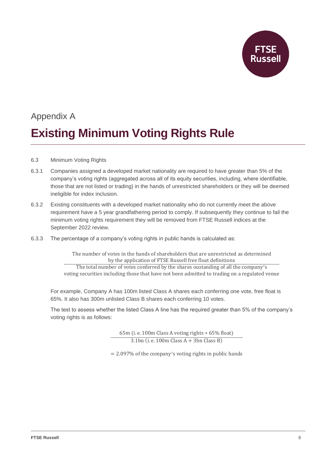

# Appendix A **Existing Minimum Voting Rights Rule**

- 6.3 Minimum Voting Rights
- 6.3.1 Companies assigned a developed market nationality are required to have greater than 5% of the company's voting rights (aggregated across all of its equity securities, including, where identifiable, those that are not listed or trading) in the hands of unrestricted shareholders or they will be deemed ineligible for index inclusion.
- 6.3.2 Existing constituents with a developed market nationality who do not currently meet the above requirement have a 5 year grandfathering period to comply. If subsequently they continue to fail the minimum voting rights requirement they will be removed from FTSE Russell indices at the September 2022 review.
- 6.3.3 The percentage of a company's voting rights in public hands is calculated as:

The number of votes in the hands of shareholders that are unrestricted as determined by the application of FTSE Russell free float definitions The total number of votes conferred by the shares oustanding of all the company ′s

voting securities including those that have not been admitted to trading on a regulated venue

For example, Company A has 100m listed Class A shares each conferring one vote, free float is 65%. It also has 300m unlisted Class B shares each conferring 10 votes.

The test to assess whether the listed Class A line has the required greater than 5% of the company's voting rights is as follows:

> 65m (i. e. 100m Class A voting rights ∗ 65% float)  $3.1bn$  (i. e. 100m Class A + 3bn Class B)

= 2.097% of the company ′s voting rights in public hands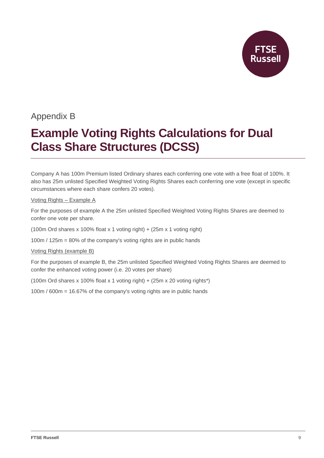

## Appendix B

# **Example Voting Rights Calculations for Dual Class Share Structures (DCSS)**

Company A has 100m Premium listed Ordinary shares each conferring one vote with a free float of 100%. It also has 25m unlisted Specified Weighted Voting Rights Shares each conferring one vote (except in specific circumstances where each share confers 20 votes).

### Voting Rights – Example A

For the purposes of example A the 25m unlisted Specified Weighted Voting Rights Shares are deemed to confer one vote per share.

(100m Ord shares x 100% float x 1 voting right) + (25m x 1 voting right)

100m / 125m = 80% of the company's voting rights are in public hands

### Voting Rights (example B)

For the purposes of example B, the 25m unlisted Specified Weighted Voting Rights Shares are deemed to confer the enhanced voting power (i.e. 20 votes per share)

(100m Ord shares x 100% float x 1 voting right) + (25m x 20 voting rights\*)

100m / 600m = 16.67% of the company's voting rights are in public hands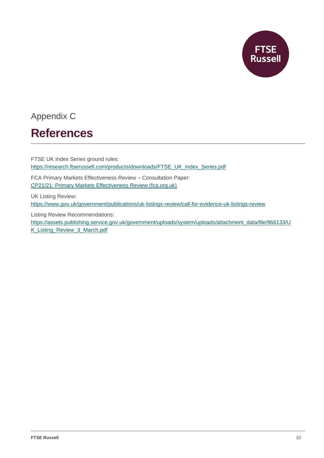

# Appendix C

## **References**

FTSE UK Index Series ground rules: [https://research.ftserussell.com/products/downloads/FTSE\\_UK\\_Index\\_Series.pdf](https://research.ftserussell.com/products/downloads/FTSE_UK_Index_Series.pdf)

FCA Primary Markets Effectiveness Review – Consultation Paper: [CP21/21: Primary Markets Effectiveness Review \(fca.org.uk\)](https://www.fca.org.uk/publication/consultation/cp21-21.pdf)

UK Listing Review: <https://www.gov.uk/government/publications/uk-listings-review/call-for-evidence-uk-listings-review>

Listing Review Recommendations:

[https://assets.publishing.service.gov.uk/government/uploads/system/uploads/attachment\\_data/file/966133/U](https://assets.publishing.service.gov.uk/government/uploads/system/uploads/attachment_data/file/966133/UK_Listing_Review_3_March.pdf) [K\\_Listing\\_Review\\_3\\_March.pdf](https://assets.publishing.service.gov.uk/government/uploads/system/uploads/attachment_data/file/966133/UK_Listing_Review_3_March.pdf)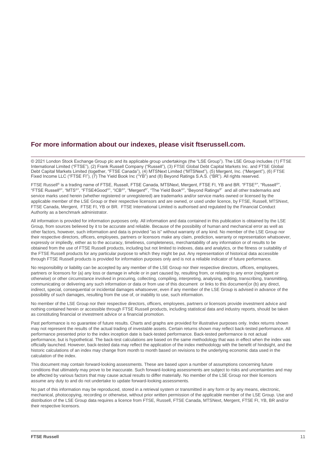### **For more information about our indexes, please visit ftserussell.com.**

© 2021 London Stock Exchange Group plc and its applicable group undertakings (the "LSE Group"). The LSE Group includes (1) FTSE International Limited ("FTSE"), (2) Frank Russell Company ("Russell"), (3) FTSE Global Debt Capital Markets Inc. and FTSE Global Debt Capital Markets Limited (together, "FTSE Canada"), (4) MTSNext Limited ("MTSNext"), (5) Mergent, Inc. ("Mergent"), (6) FTSE Fixed Income LLC ("FTSE FI"), (7) The Yield Book Inc ("YB") and (8) Beyond Ratings S.A.S. ("BR"). All rights reserved.

FTSE Russell® is a trading name of FTSE, Russell, FTSE Canada, MTSNext, Mergent, FTSE FI, YB and BR. "FTSE®", "Russell®", "FTSE Russell®", "MTS®", "FTSE4Good®", "ICB®", "Mergent®", "The Yield Book®", "Beyond Ratings®" and all other trademarks and service marks used herein (whether registered or unregistered) are trademarks and/or service marks owned or licensed by the applicable member of the LSE Group or their respective licensors and are owned, or used under licence, by FTSE, Russell, MTSNext, FTSE Canada, Mergent, FTSE FI, YB or BR. FTSE International Limited is authorised and regulated by the Financial Conduct Authority as a benchmark administrator.

All information is provided for information purposes only. All information and data contained in this publication is obtained by the LSE Group, from sources believed by it to be accurate and reliable. Because of the possibility of human and mechanical error as well as other factors, however, such information and data is provided "as is" without warranty of any kind. No member of the LSE Group nor their respective directors, officers, employees, partners or licensors make any claim, prediction, warranty or representation whatsoever, expressly or impliedly, either as to the accuracy, timeliness, completeness, merchantability of any information or of results to be obtained from the use of FTSE Russell products, including but not limited to indexes, data and analytics, or the fitness or suitability of the FTSE Russell products for any particular purpose to which they might be put. Any representation of historical data accessible through FTSE Russell products is provided for information purposes only and is not a reliable indicator of future performance.

No responsibility or liability can be accepted by any member of the LSE Group nor their respective directors, officers, employees, partners or licensors for (a) any loss or damage in whole or in part caused by, resulting from, or relating to any error (negligent or otherwise) or other circumstance involved in procuring, collecting, compiling, interpreting, analysing, editing, transcribing, transmitting, communicating or delivering any such information or data or from use of this document or links to this document or (b) any direct, indirect, special, consequential or incidental damages whatsoever, even if any member of the LSE Group is advised in advance of the possibility of such damages, resulting from the use of, or inability to use, such information.

No member of the LSE Group nor their respective directors, officers, employees, partners or licensors provide investment advice and nothing contained herein or accessible through FTSE Russell products, including statistical data and industry reports, should be taken as constituting financial or investment advice or a financial promotion.

Past performance is no guarantee of future results. Charts and graphs are provided for illustrative purposes only. Index returns shown may not represent the results of the actual trading of investable assets. Certain returns shown may reflect back-tested performance. All performance presented prior to the index inception date is back-tested performance. Back-tested performance is not actual performance, but is hypothetical. The back-test calculations are based on the same methodology that was in effect when the index was officially launched. However, back-tested data may reflect the application of the index methodology with the benefit of hindsight, and the historic calculations of an index may change from month to month based on revisions to the underlying economic data used in the calculation of the index.

This document may contain forward-looking assessments. These are based upon a number of assumptions concerning future conditions that ultimately may prove to be inaccurate. Such forward-looking assessments are subject to risks and uncertainties and may be affected by various factors that may cause actual results to differ materially. No member of the LSE Group nor their licensors assume any duty to and do not undertake to update forward-looking assessments.

No part of this information may be reproduced, stored in a retrieval system or transmitted in any form or by any means, electronic, mechanical, photocopying, recording or otherwise, without prior written permission of the applicable member of the LSE Group. Use and distribution of the LSE Group data requires a licence from FTSE, Russell, FTSE Canada, MTSNext, Mergent, FTSE FI, YB, BR and/or their respective licensors.